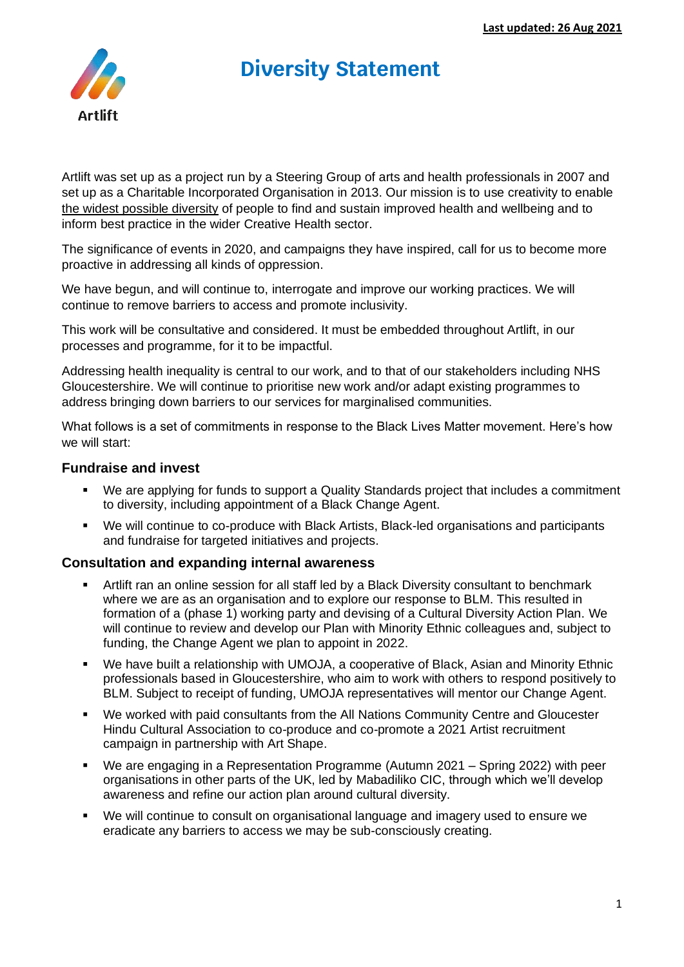# **Diversity Statement**



Artlift was set up as a project run by a Steering Group of arts and health professionals in 2007 and set up as a Charitable Incorporated Organisation in 2013. Our mission is to use creativity to enable the widest possible diversity of people to find and sustain improved health and wellbeing and to inform best practice in the wider Creative Health sector.

The significance of events in 2020, and campaigns they have inspired, call for us to become more proactive in addressing all kinds of oppression.

We have begun, and will continue to, interrogate and improve our working practices. We will continue to remove barriers to access and promote inclusivity.

This work will be consultative and considered. It must be embedded throughout Artlift, in our processes and programme, for it to be impactful.

Addressing health inequality is central to our work, and to that of our stakeholders including NHS Gloucestershire. We will continue to prioritise new work and/or adapt existing programmes to address bringing down barriers to our services for marginalised communities.

What follows is a set of commitments in response to the Black Lives Matter movement. Here's how we will start:

# **Fundraise and invest**

- We are applying for funds to support a Quality Standards project that includes a commitment to diversity, including appointment of a Black Change Agent.
- We will continue to co-produce with Black Artists, Black-led organisations and participants and fundraise for targeted initiatives and projects.

## **Consultation and expanding internal awareness**

- Artlift ran an online session for all staff led by a Black Diversity consultant to benchmark where we are as an organisation and to explore our response to BLM. This resulted in formation of a (phase 1) working party and devising of a Cultural Diversity Action Plan. We will continue to review and develop our Plan with Minority Ethnic colleagues and, subject to funding, the Change Agent we plan to appoint in 2022.
- We have built a relationship with UMOJA, a cooperative of Black, Asian and Minority Ethnic professionals based in Gloucestershire, who aim to work with others to respond positively to BLM. Subject to receipt of funding, UMOJA representatives will mentor our Change Agent.
- We worked with paid consultants from the All Nations Community Centre and Gloucester Hindu Cultural Association to co-produce and co-promote a 2021 Artist recruitment campaign in partnership with Art Shape.
- We are engaging in a Representation Programme (Autumn 2021 Spring 2022) with peer organisations in other parts of the UK, led by Mabadiliko CIC, through which we'll develop awareness and refine our action plan around cultural diversity.
- We will continue to consult on organisational language and imagery used to ensure we eradicate any barriers to access we may be sub-consciously creating.